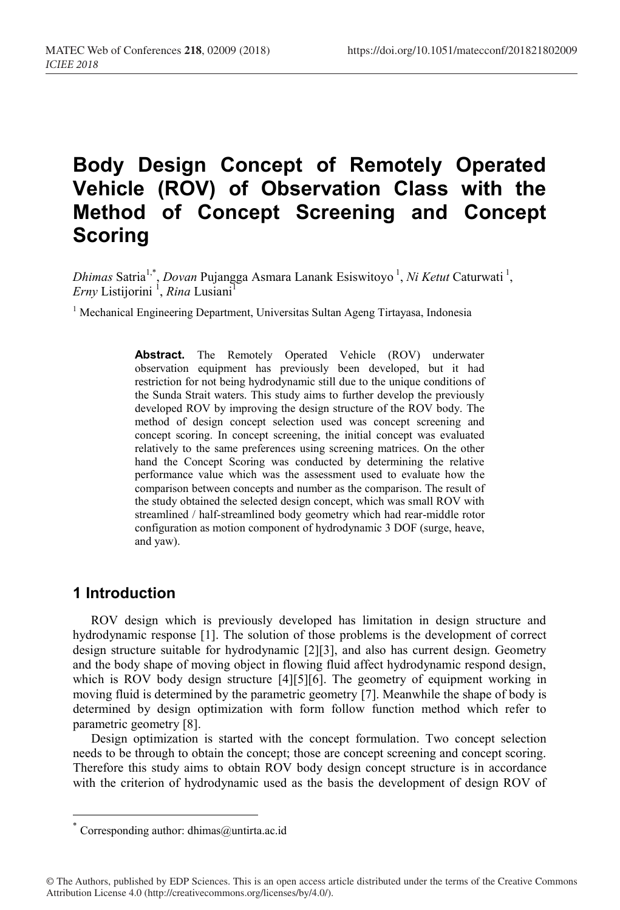# **Body Design Concept of Remotely Operated Vehicle (ROV) of Observation Class with the Method of Concept Screening and Concept Scoring**

Dhimas Satria<sup>1,\*</sup>, *Dovan* Pujangga Asmara Lanank Esiswitoyo<sup>1</sup>, *Ni Ketut* Caturwati<sup>1</sup>,  $\mathit{Erny}$  Listijorini <sup>1</sup>, *Rina* Lusiani<sup>1</sup>

<sup>1</sup> Mechanical Engineering Department, Universitas Sultan Ageng Tirtayasa, Indonesia

**Abstract.** The Remotely Operated Vehicle (ROV) underwater observation equipment has previously been developed, but it had restriction for not being hydrodynamic still due to the unique conditions of the Sunda Strait waters. This study aims to further develop the previously developed ROV by improving the design structure of the ROV body. The method of design concept selection used was concept screening and concept scoring. In concept screening, the initial concept was evaluated relatively to the same preferences using screening matrices. On the other hand the Concept Scoring was conducted by determining the relative performance value which was the assessment used to evaluate how the comparison between concepts and number as the comparison. The result of the study obtained the selected design concept, which was small ROV with streamlined / half-streamlined body geometry which had rear-middle rotor configuration as motion component of hydrodynamic 3 DOF (surge, heave, and yaw).

## **1 Introduction**

ROV design which is previously developed has limitation in design structure and hydrodynamic response [1]. The solution of those problems is the development of correct design structure suitable for hydrodynamic [2][3], and also has current design. Geometry and the body shape of moving object in flowing fluid affect hydrodynamic respond design, which is ROV body design structure [4][5][6]. The geometry of equipment working in moving fluid is determined by the parametric geometry [7]. Meanwhile the shape of body is determined by design optimization with form follow function method which refer to parametric geometry [8].

Design optimization is started with the concept formulation. Two concept selection needs to be through to obtain the concept; those are concept screening and concept scoring. Therefore this study aims to obtain ROV body design concept structure is in accordance with the criterion of hydrodynamic used as the basis the development of design ROV of

© The Authors, published by EDP Sciences. This is an open access article distributed under the terms of the Creative Commons Attribution License 4.0 (http://creativecommons.org/licenses/by/4.0/).

<sup>\*</sup> Corresponding author: dhimas@untirta.ac.id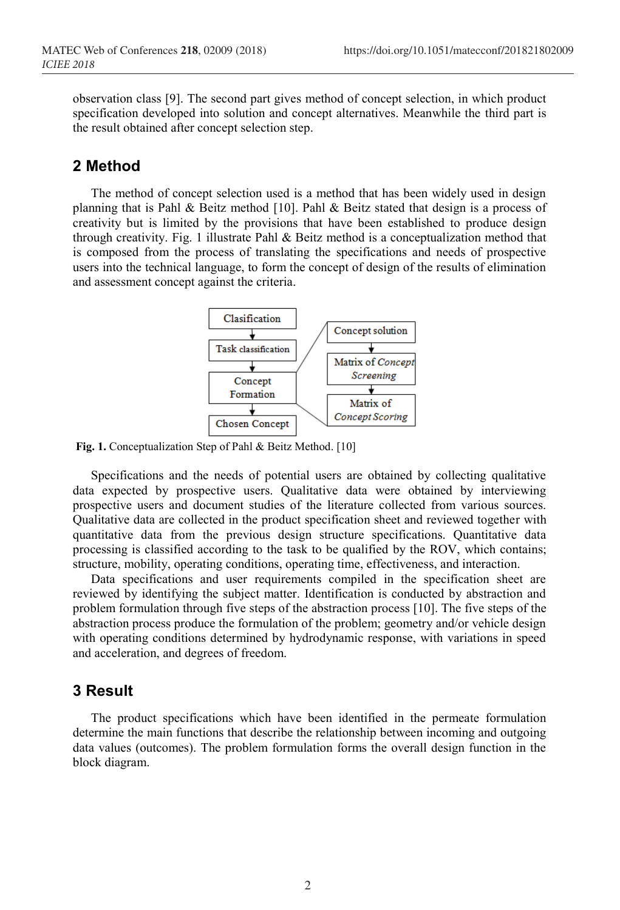observation class [9]. The second part gives method of concept selection, in which product specification developed into solution and concept alternatives. Meanwhile the third part is the result obtained after concept selection step.

## **2 Method**

The method of concept selection used is a method that has been widely used in design planning that is Pahl & Beitz method [10]. Pahl & Beitz stated that design is a process of creativity but is limited by the provisions that have been established to produce design through creativity. Fig. 1 illustrate Pahl & Beitz method is a conceptualization method that is composed from the process of translating the specifications and needs of prospective users into the technical language, to form the concept of design of the results of elimination and assessment concept against the criteria.



**Fig. 1.** Conceptualization Step of Pahl & Beitz Method. [10]

Specifications and the needs of potential users are obtained by collecting qualitative data expected by prospective users. Qualitative data were obtained by interviewing prospective users and document studies of the literature collected from various sources. Qualitative data are collected in the product specification sheet and reviewed together with quantitative data from the previous design structure specifications. Quantitative data processing is classified according to the task to be qualified by the ROV, which contains; structure, mobility, operating conditions, operating time, effectiveness, and interaction.

Data specifications and user requirements compiled in the specification sheet are reviewed by identifying the subject matter. Identification is conducted by abstraction and problem formulation through five steps of the abstraction process [10]. The five steps of the abstraction process produce the formulation of the problem; geometry and/or vehicle design with operating conditions determined by hydrodynamic response, with variations in speed and acceleration, and degrees of freedom.

### **3 Result**

The product specifications which have been identified in the permeate formulation determine the main functions that describe the relationship between incoming and outgoing data values (outcomes). The problem formulation forms the overall design function in the block diagram.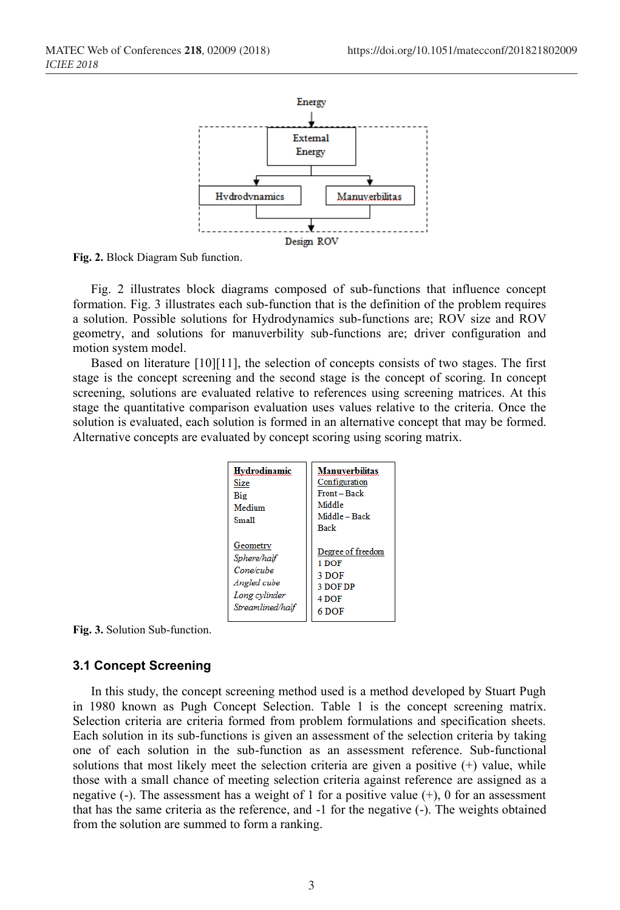

**Fig. 2.** Block Diagram Sub function.

Fig. 2 illustrates block diagrams composed of sub-functions that influence concept formation. Fig. 3 illustrates each sub-function that is the definition of the problem requires a solution. Possible solutions for Hydrodynamics sub-functions are; ROV size and ROV geometry, and solutions for manuverbility sub-functions are; driver configuration and motion system model.

Based on literature [10][11], the selection of concepts consists of two stages. The first stage is the concept screening and the second stage is the concept of scoring. In concept screening, solutions are evaluated relative to references using screening matrices. At this stage the quantitative comparison evaluation uses values relative to the criteria. Once the solution is evaluated, each solution is formed in an alternative concept that may be formed. Alternative concepts are evaluated by concept scoring using scoring matrix.

| Hvdrodinamic<br>Size<br>Big<br>Medium<br><b>Small</b> | <b>Manuverbilitas</b><br>Configuration<br>Front - Back<br>Middle<br>Middle - Back<br><b>Back</b> |
|-------------------------------------------------------|--------------------------------------------------------------------------------------------------|
| Geometry                                              | Degree of freedom                                                                                |
| Sphere/half                                           | 1 DOF                                                                                            |
| Cone/cube                                             | 3 DOF                                                                                            |
| Angled cube                                           | <b>3 DOF DP</b>                                                                                  |
| Long cvlinder                                         | 4 DOF                                                                                            |
| Streamlined/half                                      | 6 DOF                                                                                            |

**Fig. 3.** Solution Sub-function.

#### **3.1 Concept Screening**

In this study, the concept screening method used is a method developed by Stuart Pugh in 1980 known as Pugh Concept Selection. Table 1 is the concept screening matrix. Selection criteria are criteria formed from problem formulations and specification sheets. Each solution in its sub-functions is given an assessment of the selection criteria by taking one of each solution in the sub-function as an assessment reference. Sub-functional solutions that most likely meet the selection criteria are given a positive  $(+)$  value, while those with a small chance of meeting selection criteria against reference are assigned as a negative (-). The assessment has a weight of 1 for a positive value  $(+)$ , 0 for an assessment that has the same criteria as the reference, and -1 for the negative (-). The weights obtained from the solution are summed to form a ranking.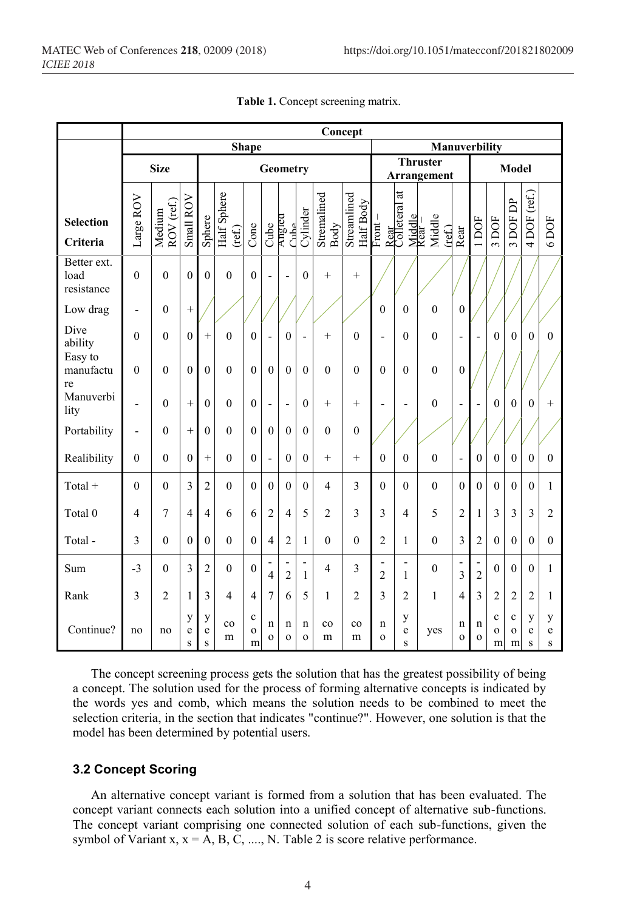|                                   | Concept                  |                      |              |                  |                       |                                 |                         |                                            |                                |                     |                          |                                            |                                                      |                                |                     |                                            |                                 |                              |                |                |  |  |
|-----------------------------------|--------------------------|----------------------|--------------|------------------|-----------------------|---------------------------------|-------------------------|--------------------------------------------|--------------------------------|---------------------|--------------------------|--------------------------------------------|------------------------------------------------------|--------------------------------|---------------------|--------------------------------------------|---------------------------------|------------------------------|----------------|----------------|--|--|
|                                   | Shape                    |                      |              |                  |                       |                                 |                         |                                            |                                |                     |                          | Manuverbility                              |                                                      |                                |                     |                                            |                                 |                              |                |                |  |  |
|                                   | <b>Size</b>              |                      |              |                  | Geometry              |                                 |                         |                                            |                                |                     |                          |                                            |                                                      | <b>Thruster</b><br>Arrangement |                     |                                            |                                 |                              | <b>Model</b>   |                |  |  |
| <b>Selection</b><br>Criteria      | Large ROV                | ROV (ref.)<br>Medium | Small ROV    | Sphere           | Half Sphere<br>(ref.) | Cone                            | Cube                    | Anglea<br>مطنت                             | Cylinder                       | Stremalined<br>Body | Streamlined<br>Half Body | $Front-$                                   | $\sharp$<br>Rear<br>Colleteral a<br>Middle<br>Rear – | Middle<br>$(\text{ref})$       | Rear                | 1DOF                                       | 3 DOF                           | 3 DOF DP                     | 4 DOF (ref.)   | $6$ DOF        |  |  |
| Better ext.<br>load<br>resistance | $\theta$                 | $\mathbf{0}$         | $\mathbf{0}$ | $\mathbf{0}$     | $\overline{0}$        | $\mathbf{0}$                    | $\overline{a}$          | $\overline{a}$                             | $\overline{0}$                 | $\ddot{}$           | $^{+}$                   |                                            |                                                      |                                |                     |                                            |                                 |                              |                |                |  |  |
| Low drag                          | $\overline{\phantom{0}}$ | $\overline{0}$       | $\ddot{}$    |                  |                       |                                 |                         |                                            |                                |                     |                          | $\boldsymbol{0}$                           | $\overline{0}$                                       | $\boldsymbol{0}$               | $\boldsymbol{0}$    |                                            |                                 |                              |                |                |  |  |
| Dive<br>ability                   | $\theta$                 | $\overline{0}$       | $\mathbf{0}$ | $^{+}$           | $\overline{0}$        | $\overline{0}$                  | $\overline{a}$          | $\overline{0}$                             | $\overline{\phantom{m}}$       | $^{+}$              | $\boldsymbol{0}$         | $\overline{a}$                             | $\overline{0}$                                       | $\boldsymbol{0}$               | $\overline{a}$      | $\overline{a}$                             | $\mathbf{0}$                    | $\overline{0}$               | $\overline{0}$ | $\mathbf{0}$   |  |  |
| Easy to<br>manufactu<br>re        | $\theta$                 | $\theta$             | $\theta$     | $\boldsymbol{0}$ | $\theta$              | $\theta$                        | $\boldsymbol{0}$        | $\overline{0}$                             | $\overline{0}$                 | $\boldsymbol{0}$    | $\boldsymbol{0}$         | $\boldsymbol{0}$                           | $\theta$                                             | $\boldsymbol{0}$               | $\boldsymbol{0}$    |                                            |                                 |                              |                |                |  |  |
| Manuverbi<br>lity                 | $\overline{a}$           | $\theta$             | $\ddot{}$    | $\mathbf{0}$     | $\overline{0}$        | $\boldsymbol{0}$                | $\overline{a}$          | $\overline{a}$                             | $\overline{0}$                 | $+$                 | $^{+}$                   | $\overline{\phantom{0}}$                   | ٠                                                    | $\boldsymbol{0}$               | ÷                   | ÷                                          | $\mathbf{0}$                    | $\mathbf{0}$                 | $\theta$       | $^{+}$         |  |  |
| Portability                       | $\overline{a}$           | $\overline{0}$       | $\ddot{}$    | $\mathbf{0}$     | $\overline{0}$        | $\theta$                        | $\boldsymbol{0}$        | $\mathbf{0}$                               | $\overline{0}$                 | $\mathbf{0}$        | $\mathbf{0}$             |                                            |                                                      |                                |                     |                                            |                                 |                              |                |                |  |  |
| Realibility                       | $\theta$                 | $\theta$             | $\theta$     | $^{+}$           | $\theta$              | $\mathbf{0}$                    | $\overline{a}$          | $\overline{0}$                             | $\theta$                       | $+$                 | $^{+}$                   | $\mathbf{0}$                               | $\theta$                                             | $\boldsymbol{0}$               | $\overline{a}$      | $\mathbf{0}$                               | $\mathbf{0}$                    | $\mathbf{0}$                 | $\theta$       | $\mathbf{0}$   |  |  |
| Total $+$                         | $\theta$                 | $\mathbf{0}$         | 3            | $\overline{2}$   | $\boldsymbol{0}$      | $\boldsymbol{0}$                | $\boldsymbol{0}$        | $\boldsymbol{0}$                           | $\overline{0}$                 | $\overline{4}$      | 3                        | $\boldsymbol{0}$                           | $\overline{0}$                                       | $\boldsymbol{0}$               | $\mathbf{0}$        | $\boldsymbol{0}$                           | $\boldsymbol{0}$                | $\mathbf{0}$                 | $\mathbf{0}$   | $\mathbf{1}$   |  |  |
| Total 0                           | 4                        | $\overline{7}$       | 4            | $\overline{4}$   | 6                     | 6                               | $\overline{c}$          | $\overline{4}$                             | 5                              | $\overline{2}$      | 3                        | 3                                          | 4                                                    | 5                              | $\overline{2}$      | $\mathbf{1}$                               | 3                               | $\mathfrak{Z}$               | $\overline{3}$ | $\overline{c}$ |  |  |
| Total-                            | 3                        | $\theta$             | $\theta$     | $\theta$         | $\theta$              | $\theta$                        | $\overline{4}$          | $\overline{c}$                             | 1                              | $\mathbf{0}$        | $\theta$                 | $\overline{c}$                             | $\mathbf{1}$                                         | $\theta$                       | 3                   | $\overline{c}$                             | $\mathbf{0}$                    | $\theta$                     | $\theta$       | $\theta$       |  |  |
| Sum                               | $-3$                     | $\theta$             | 3            | $\overline{c}$   | $\theta$              | $\mathbf{0}$                    | $\overline{\mathbf{4}}$ | $\overline{\phantom{0}}$<br>$\overline{c}$ | $\overline{a}$<br>$\mathbf{1}$ | $\overline{4}$      | 3                        | $\overline{\phantom{a}}$<br>$\overline{c}$ | $\overline{\phantom{0}}$<br>$\mathbf{1}$             | $\boldsymbol{0}$               | $\overline{a}$<br>3 | $\overline{\phantom{0}}$<br>$\overline{c}$ | $\mathbf{0}$                    | $\theta$                     | $\theta$       | 1              |  |  |
| Rank                              | 3                        | $\overline{c}$       | 1            | 3                | $\overline{4}$        | $\overline{4}$                  | 7                       | 6                                          | 5                              | 1                   | $\overline{2}$           | 3                                          | $\overline{c}$                                       | 1                              | $\overline{4}$      | 3                                          | $\overline{c}$                  | $\overline{2}$               | $\overline{2}$ | 1              |  |  |
| Continue?                         | no                       | no                   | у<br>e<br>S  | у<br>e<br>S      | $_{\rm co}$<br>m      | $\mathbf c$<br>$\mathbf 0$<br>m | n<br>$\mathbf{o}$       | n<br>$\mathbf 0$                           | n<br>$\Omega$                  | $_{\rm co}$<br>m    | $_{\rm co}$<br>m         | n<br>$\mathbf 0$                           | у<br>e<br>S                                          | yes                            | n<br>$\mathbf{o}$   | $\mathbf n$<br>$\mathbf 0$                 | $\mathbf c$<br>$\mathbf 0$<br>m | $\mathbf c$<br>$\Omega$<br>m | y<br>e<br>S    | y<br>e<br>S    |  |  |

|  | Table 1. Concept screening matrix. |  |
|--|------------------------------------|--|
|  |                                    |  |

The concept screening process gets the solution that has the greatest possibility of being a concept. The solution used for the process of forming alternative concepts is indicated by the words yes and comb, which means the solution needs to be combined to meet the selection criteria, in the section that indicates "continue?". However, one solution is that the model has been determined by potential users.

#### **3.2 Concept Scoring**

An alternative concept variant is formed from a solution that has been evaluated. The concept variant connects each solution into a unified concept of alternative sub-functions. The concept variant comprising one connected solution of each sub-functions, given the symbol of Variant x,  $x = A$ , B, C, ..., N. Table 2 is score relative performance.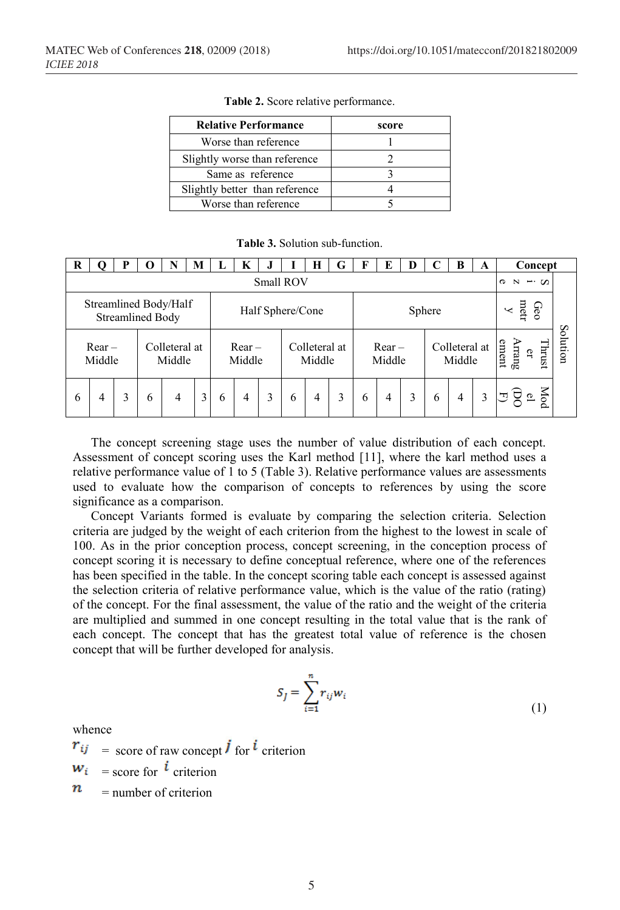| <b>Relative Performance</b>    | score |
|--------------------------------|-------|
| Worse than reference           |       |
| Slightly worse than reference  |       |
| Same as reference              |       |
| Slightly better than reference |       |
| Worse than reference           |       |

**Table 2.** Score relative performance.

**Table 3.** Solution sub-function.

| R                                                |                    | P |   |                         | M |                  | K                  |  |   | Н                       | G | F                       | E                  | D |   | B                       | A | Concept                        |                       |
|--------------------------------------------------|--------------------|---|---|-------------------------|---|------------------|--------------------|--|---|-------------------------|---|-------------------------|--------------------|---|---|-------------------------|---|--------------------------------|-----------------------|
|                                                  | Small ROV          |   |   |                         |   |                  |                    |  |   |                         |   | $\sigma$<br>N<br>$-0.5$ |                    |   |   |                         |   |                                |                       |
| Streamlined Body/Half<br><b>Streamlined Body</b> |                    |   |   |                         |   | Half Sphere/Cone |                    |  |   |                         |   |                         | Sphere             |   |   |                         |   | metr<br>Geo                    | $\boldsymbol{\omega}$ |
|                                                  | $Rear -$<br>Middle |   |   | Colleteral at<br>Middle |   |                  | $Rear -$<br>Middle |  |   | Colleteral at<br>Middle |   |                         | $Rear -$<br>Middle |   |   | Colleteral at<br>Middle |   | Arrang<br>Thrust<br>ement<br>đ | antion                |
| 6                                                | 4                  | 3 | 6 | 4                       | 3 | 6                | 4                  |  | 6 | 4                       | 3 | 6                       | 4                  | 3 | 6 | 4                       | 3 | Mod                            |                       |

The concept screening stage uses the number of value distribution of each concept. Assessment of concept scoring uses the Karl method [11], where the karl method uses a relative performance value of 1 to 5 (Table 3). Relative performance values are assessments used to evaluate how the comparison of concepts to references by using the score significance as a comparison.

Concept Variants formed is evaluate by comparing the selection criteria. Selection criteria are judged by the weight of each criterion from the highest to the lowest in scale of 100. As in the prior conception process, concept screening, in the conception process of concept scoring it is necessary to define conceptual reference, where one of the references has been specified in the table. In the concept scoring table each concept is assessed against the selection criteria of relative performance value, which is the value of the ratio (rating) of the concept. For the final assessment, the value of the ratio and the weight of the criteria are multiplied and summed in one concept resulting in the total value that is the rank of each concept. The concept that has the greatest total value of reference is the chosen concept that will be further developed for analysis.

$$
S_J = \sum_{i=1}^n r_{ij} w_i \tag{1}
$$

whence

 $r_{ij}$  = score of raw concept **j** for **i** criterion

 $W_i$  = score for *l* criterion

n = number of criterion